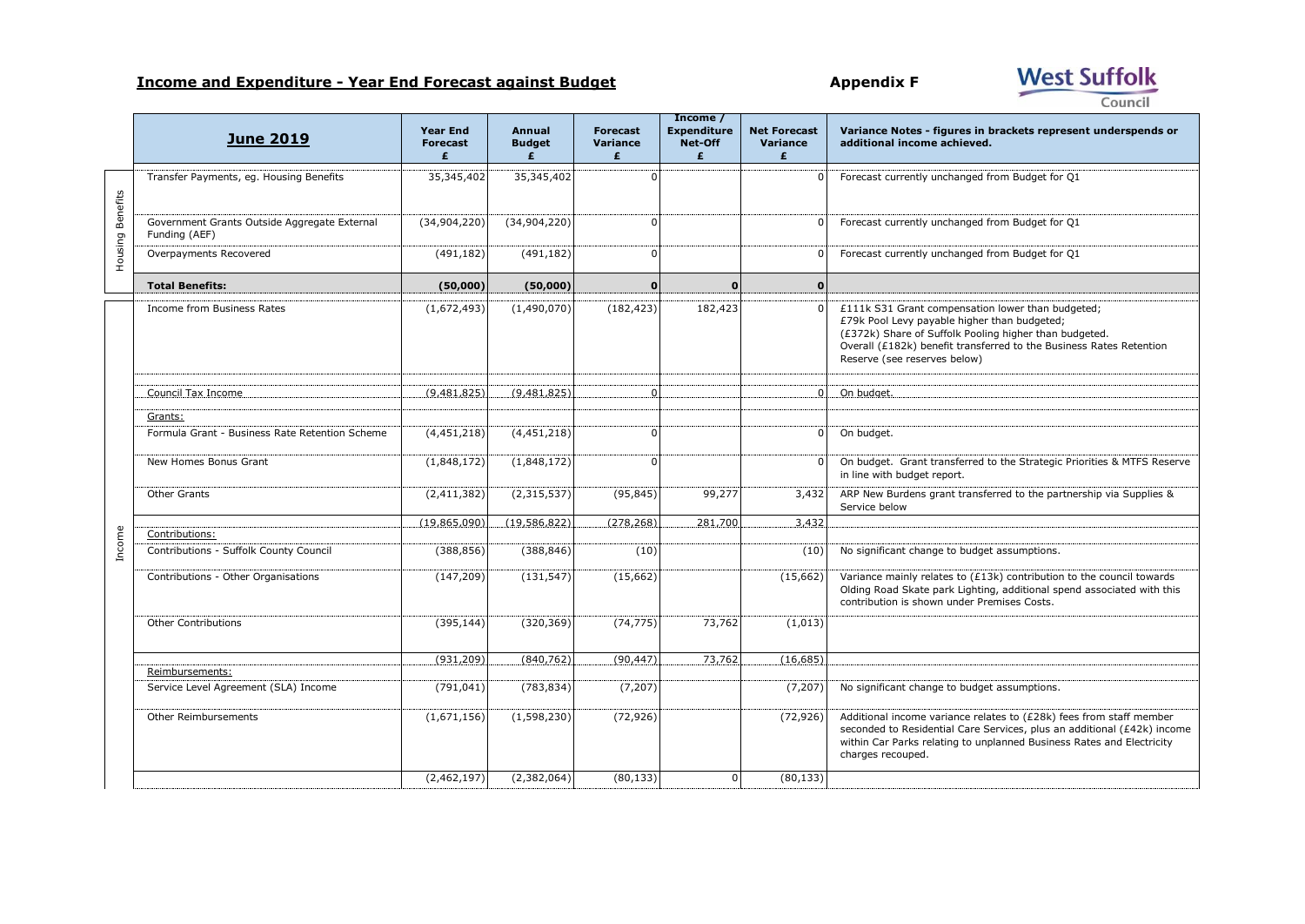## **Income and Expenditure - Year End Forecast against Budget Appendix F**

West Suffolk Council

|                  | Income /                                                      |                                         |                              |                                  |                                    |                                      |                                                                                                                                                                                                                                                                    |
|------------------|---------------------------------------------------------------|-----------------------------------------|------------------------------|----------------------------------|------------------------------------|--------------------------------------|--------------------------------------------------------------------------------------------------------------------------------------------------------------------------------------------------------------------------------------------------------------------|
|                  | <b>June 2019</b>                                              | <b>Year End</b><br><b>Forecast</b><br>£ | Annual<br><b>Budget</b><br>£ | <b>Forecast</b><br>Variance<br>£ | <b>Expenditure</b><br>Net-Off<br>£ | <b>Net Forecast</b><br>Variance<br>£ | Variance Notes - figures in brackets represent underspends or<br>additional income achieved.                                                                                                                                                                       |
| Housing Benefits | Transfer Payments, eq. Housing Benefits                       | 35,345,402                              | 35,345,402                   | n                                |                                    | $\Omega$                             | Forecast currently unchanged from Budget for Q1                                                                                                                                                                                                                    |
|                  | Government Grants Outside Aggregate External<br>Funding (AEF) | (34,904,220)                            | (34,904,220)                 | $\Omega$                         |                                    | $\Omega$                             | Forecast currently unchanged from Budget for Q1                                                                                                                                                                                                                    |
|                  | Overpayments Recovered                                        | (491, 182)                              | (491, 182)                   | $\Omega$                         |                                    | $\Omega$                             | Forecast currently unchanged from Budget for Q1                                                                                                                                                                                                                    |
|                  | <b>Total Benefits:</b>                                        | (50,000)                                | (50,000)                     | $\mathbf{0}$                     | $\Omega$                           | $\mathbf{0}$                         |                                                                                                                                                                                                                                                                    |
|                  | Income from Business Rates                                    | (1,672,493)                             | (1,490,070)                  | (182, 423)                       | 182,423                            | $\mathbf 0$                          | £111k S31 Grant compensation lower than budgeted;<br>£79k Pool Levy payable higher than budgeted;<br>(£372k) Share of Suffolk Pooling higher than budgeted.<br>Overall (£182k) benefit transferred to the Business Rates Retention<br>Reserve (see reserves below) |
|                  | Council Tax Income                                            | (9,481,825)                             | (9,481,825)                  |                                  |                                    | $\Omega$                             | On budget.                                                                                                                                                                                                                                                         |
|                  |                                                               |                                         |                              |                                  |                                    |                                      |                                                                                                                                                                                                                                                                    |
|                  | Grants:                                                       |                                         |                              |                                  |                                    |                                      |                                                                                                                                                                                                                                                                    |
|                  | Formula Grant - Business Rate Retention Scheme                | (4,451,218)                             | (4,451,218)                  | n                                |                                    |                                      | On budget.                                                                                                                                                                                                                                                         |
|                  | New Homes Bonus Grant                                         | (1,848,172)                             | (1,848,172)                  | n                                |                                    | $\Omega$                             | On budget. Grant transferred to the Strategic Priorities & MTFS Reserve<br>in line with budget report.                                                                                                                                                             |
|                  | Other Grants                                                  | (2,411,382)                             | (2,315,537)                  | (95, 845)                        | 99,277                             | 3,432                                | ARP New Burdens grant transferred to the partnership via Supplies &<br>Service below                                                                                                                                                                               |
|                  | Contributions:                                                | (19,865,090)                            | (19.586.822)                 | (278, 268)                       | 281,700                            | 3,432                                |                                                                                                                                                                                                                                                                    |
| Income           | Contributions - Suffolk County Council                        | (388, 856)                              | (388, 846)                   | (10)                             |                                    | (10)                                 | No significant change to budget assumptions.                                                                                                                                                                                                                       |
|                  | Contributions - Other Organisations                           | (147, 209)                              | (131, 547)                   | (15,662)                         |                                    | (15,662)                             | Variance mainly relates to (£13k) contribution to the council towards<br>Olding Road Skate park Lighting, additional spend associated with this<br>contribution is shown under Premises Costs.                                                                     |
|                  | <b>Other Contributions</b>                                    | (395, 144)                              | (320, 369)                   | (74, 775)                        | 73,762                             | (1,013)                              |                                                                                                                                                                                                                                                                    |
|                  |                                                               | (931, 209)                              | (840, 762)                   | (90, 447)                        | 73,762                             | (16, 685)                            |                                                                                                                                                                                                                                                                    |
|                  | Reimbursements:                                               |                                         |                              |                                  |                                    |                                      |                                                                                                                                                                                                                                                                    |
|                  | Service Level Agreement (SLA) Income                          | (791, 041)                              | (783, 834)                   | (7, 207)                         |                                    | (7, 207)                             | No significant change to budget assumptions.                                                                                                                                                                                                                       |
|                  | Other Reimbursements                                          | (1,671,156)                             | (1,598,230)                  | (72, 926)                        |                                    | (72, 926)                            | Additional income variance relates to (£28k) fees from staff member<br>seconded to Residential Care Services, plus an additional (£42k) income<br>within Car Parks relating to unplanned Business Rates and Electricity<br>charges recouped.                       |
|                  |                                                               | (2,462,197)                             | (2,382,064)                  | (80, 133)                        |                                    | (80, 133)                            |                                                                                                                                                                                                                                                                    |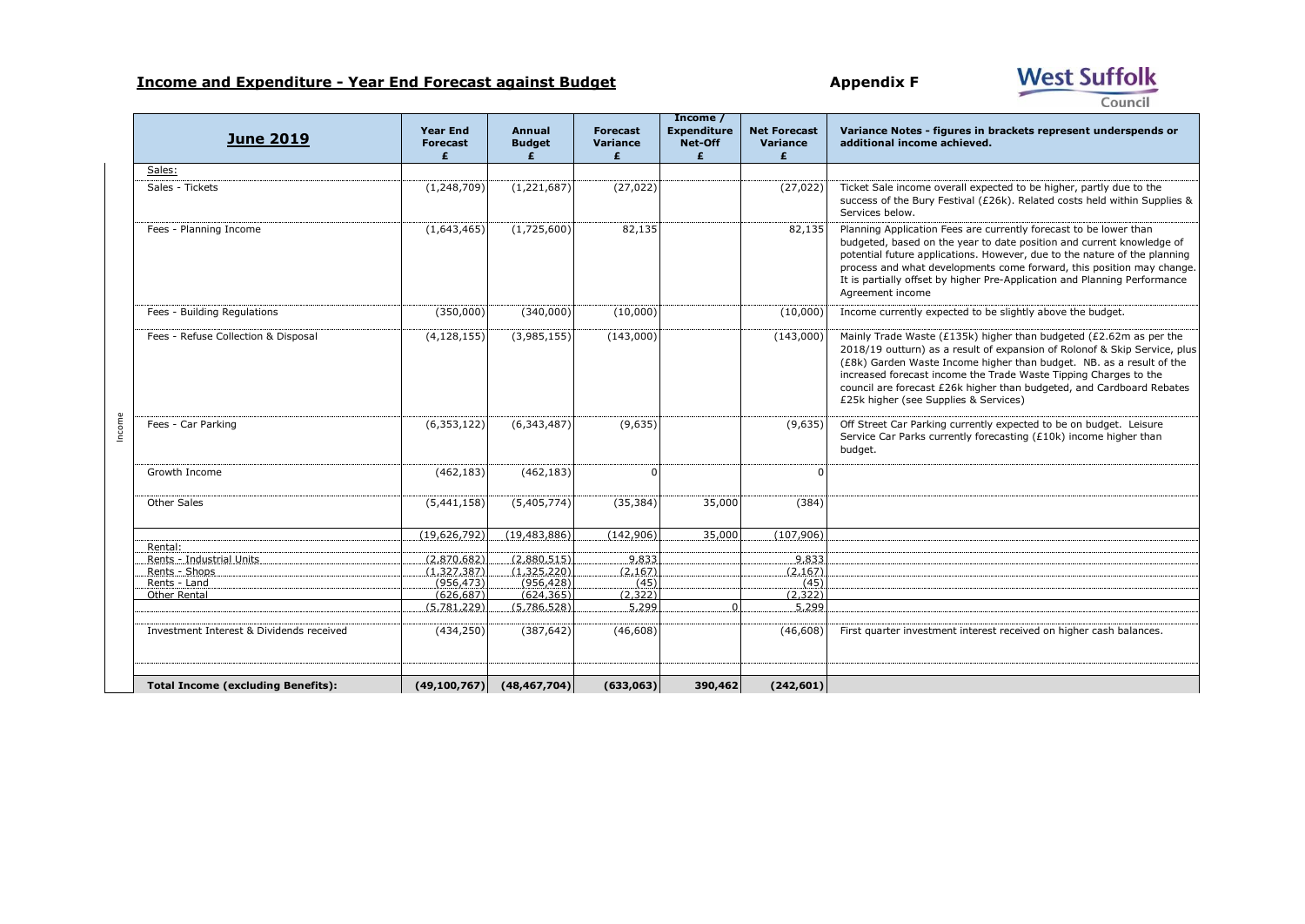## **Income and Expenditure - Year End Forecast against Budget Appendix F**

Council

**West Suffolk** 

| <b>June 2019</b>                          | <b>Year End</b><br><b>Forecast</b><br>£ | Annual<br><b>Budget</b><br>£ | <b>Forecast</b><br><b>Variance</b><br>£ | Income /<br><b>Expenditure</b><br>Net-Off<br>£ | <b>Net Forecast</b><br>Variance<br>£ | Variance Notes - figures in brackets represent underspends or<br>additional income achieved.                                                                                                                                                                                                                                                                                                                  |
|-------------------------------------------|-----------------------------------------|------------------------------|-----------------------------------------|------------------------------------------------|--------------------------------------|---------------------------------------------------------------------------------------------------------------------------------------------------------------------------------------------------------------------------------------------------------------------------------------------------------------------------------------------------------------------------------------------------------------|
| Sales:                                    |                                         |                              |                                         |                                                |                                      |                                                                                                                                                                                                                                                                                                                                                                                                               |
| Sales - Tickets                           | (1, 248, 709)                           | (1,221,687)                  | (27, 022)                               |                                                | (27, 022)                            | Ticket Sale income overall expected to be higher, partly due to the<br>success of the Bury Festival (£26k). Related costs held within Supplies &<br>Services below.                                                                                                                                                                                                                                           |
| Fees - Planning Income                    | (1,643,465)                             | (1,725,600)                  | 82,135                                  |                                                | 82,135                               | Planning Application Fees are currently forecast to be lower than<br>budgeted, based on the year to date position and current knowledge of<br>potential future applications. However, due to the nature of the planning<br>process and what developments come forward, this position may change.<br>It is partially offset by higher Pre-Application and Planning Performance<br>Agreement income             |
| Fees - Building Regulations               | (350,000)                               | (340,000)                    | (10,000)                                |                                                | (10,000)                             | Income currently expected to be slightly above the budget.                                                                                                                                                                                                                                                                                                                                                    |
| Fees - Refuse Collection & Disposal       | (4, 128, 155)                           | (3,985,155)                  | (143,000)                               |                                                | (143,000)                            | Mainly Trade Waste (£135k) higher than budgeted (£2.62m as per the<br>2018/19 outturn) as a result of expansion of Rolonof & Skip Service, plus<br>(£8k) Garden Waste Income higher than budget. NB. as a result of the<br>increased forecast income the Trade Waste Tipping Charges to the<br>council are forecast £26k higher than budgeted, and Cardboard Rebates<br>£25k higher (see Supplies & Services) |
| Fees - Car Parking                        | (6, 353, 122)                           | (6, 343, 487)                | (9,635)                                 |                                                | (9,635)                              | Off Street Car Parking currently expected to be on budget. Leisure<br>Service Car Parks currently forecasting (£10k) income higher than<br>budget.                                                                                                                                                                                                                                                            |
| Growth Income                             | (462, 183)                              | (462, 183)                   |                                         |                                                | $\Omega$                             |                                                                                                                                                                                                                                                                                                                                                                                                               |
| Other Sales                               | (5,441,158)                             | (5,405,774)                  | (35, 384)                               | 35,000                                         | (384)                                |                                                                                                                                                                                                                                                                                                                                                                                                               |
|                                           | (19,626,792)                            | (19, 483, 886)               | (142, 906)                              | 35,000                                         | (107, 906)                           |                                                                                                                                                                                                                                                                                                                                                                                                               |
| Rental:                                   |                                         |                              |                                         |                                                |                                      |                                                                                                                                                                                                                                                                                                                                                                                                               |
| Rents - Industrial Units                  | (2,870,682)                             | (2,880,515)                  | 9,833                                   |                                                | 9,833                                |                                                                                                                                                                                                                                                                                                                                                                                                               |
| Rents - Shops                             | (1,327,387)                             | (1,325,220)                  | (2, 167)                                |                                                | (2, 167)                             |                                                                                                                                                                                                                                                                                                                                                                                                               |
| Rents - Land<br>Other Rental              | (956, 473)<br>(626, 687)                | (956, 428)<br>(624, 365)     | (45)<br>(2, 322)                        |                                                | (45)<br>(2,322)                      |                                                                                                                                                                                                                                                                                                                                                                                                               |
|                                           | (5,781,229)                             | (5,786,528)                  | 5,299                                   |                                                | 5,299                                |                                                                                                                                                                                                                                                                                                                                                                                                               |
| Investment Interest & Dividends received  | (434, 250)                              | (387, 642)                   | (46, 608)                               |                                                | (46, 608)                            | First quarter investment interest received on higher cash balances.                                                                                                                                                                                                                                                                                                                                           |
| <b>Total Income (excluding Benefits):</b> | (49, 100, 767)                          | (48, 467, 704)               | (633,063)                               | 390,462                                        | (242, 601)                           |                                                                                                                                                                                                                                                                                                                                                                                                               |